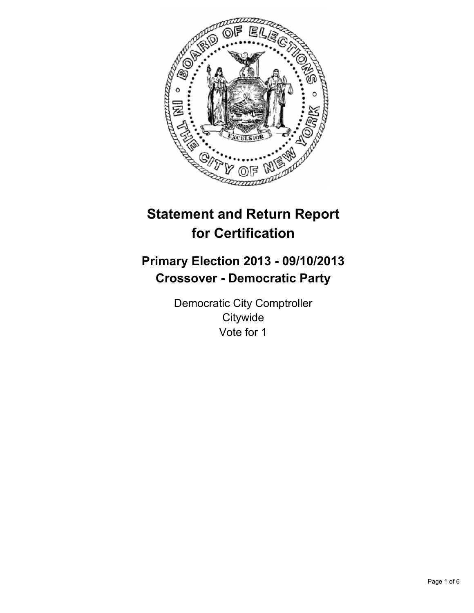

# **Statement and Return Report for Certification**

## **Primary Election 2013 - 09/10/2013 Crossover - Democratic Party**

Democratic City Comptroller **Citywide** Vote for 1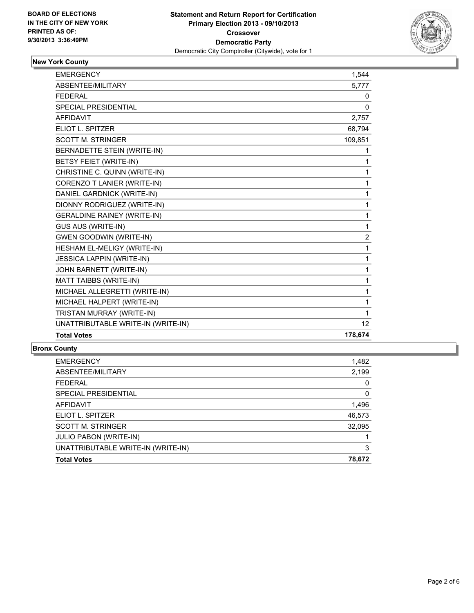

## **New York County**

| <b>EMERGENCY</b>                   | 1,544   |
|------------------------------------|---------|
| ABSENTEE/MILITARY                  | 5,777   |
| <b>FEDERAL</b>                     | 0       |
| <b>SPECIAL PRESIDENTIAL</b>        | 0       |
| <b>AFFIDAVIT</b>                   | 2,757   |
| ELIOT L. SPITZER                   | 68,794  |
| <b>SCOTT M. STRINGER</b>           | 109,851 |
| BERNADETTE STEIN (WRITE-IN)        | 1       |
| BETSY FEIET (WRITE-IN)             | 1       |
| CHRISTINE C. QUINN (WRITE-IN)      | 1       |
| CORENZO T LANIER (WRITE-IN)        | 1       |
| DANIEL GARDNICK (WRITE-IN)         | 1       |
| DIONNY RODRIGUEZ (WRITE-IN)        | 1       |
| <b>GERALDINE RAINEY (WRITE-IN)</b> | 1       |
| <b>GUS AUS (WRITE-IN)</b>          | 1       |
| <b>GWEN GOODWIN (WRITE-IN)</b>     | 2       |
| HESHAM EL-MELIGY (WRITE-IN)        | 1       |
| <b>JESSICA LAPPIN (WRITE-IN)</b>   | 1       |
| JOHN BARNETT (WRITE-IN)            | 1       |
| MATT TAIBBS (WRITE-IN)             | 1       |
| MICHAEL ALLEGRETTI (WRITE-IN)      | 1       |
| MICHAEL HALPERT (WRITE-IN)         | 1       |
| TRISTAN MURRAY (WRITE-IN)          | 1       |
| UNATTRIBUTABLE WRITE-IN (WRITE-IN) | 12      |
| <b>Total Votes</b>                 | 178,674 |

#### **Bronx County**

| <b>Total Votes</b>                 | 78,672 |
|------------------------------------|--------|
| UNATTRIBUTABLE WRITE-IN (WRITE-IN) | 3      |
| <b>JULIO PABON (WRITE-IN)</b>      |        |
| <b>SCOTT M. STRINGER</b>           | 32,095 |
| ELIOT L. SPITZER                   | 46,573 |
| AFFIDAVIT                          | 1,496  |
| SPECIAL PRESIDENTIAL               | 0      |
| <b>FEDERAL</b>                     | 0      |
| ABSENTEE/MILITARY                  | 2,199  |
| <b>EMERGENCY</b>                   | 1,482  |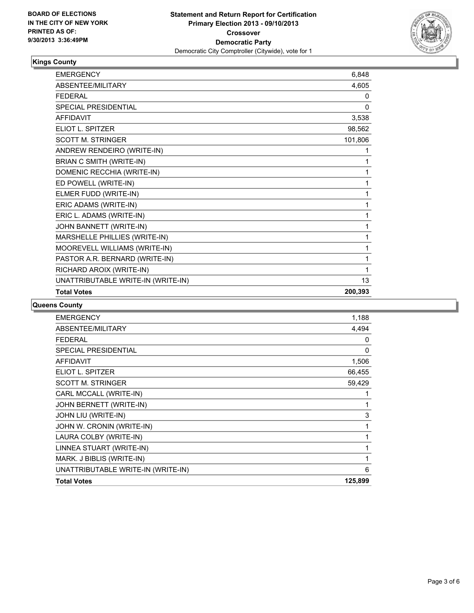

## **Kings County**

| <b>EMERGENCY</b>                   | 6,848   |
|------------------------------------|---------|
| <b>ABSENTEE/MILITARY</b>           | 4,605   |
| <b>FFDFRAI</b>                     | 0       |
| SPECIAL PRESIDENTIAL               | 0       |
| <b>AFFIDAVIT</b>                   | 3,538   |
| <b>ELIOT L. SPITZER</b>            | 98,562  |
| <b>SCOTT M. STRINGER</b>           | 101,806 |
| ANDREW RENDEIRO (WRITE-IN)         | 1       |
| BRIAN C SMITH (WRITE-IN)           | 1       |
| DOMENIC RECCHIA (WRITE-IN)         | 1       |
| ED POWELL (WRITE-IN)               | 1       |
| ELMER FUDD (WRITE-IN)              | 1       |
| ERIC ADAMS (WRITE-IN)              | 1       |
| ERIC L. ADAMS (WRITE-IN)           | 1       |
| JOHN BANNETT (WRITE-IN)            | 1       |
| MARSHELLE PHILLIES (WRITE-IN)      | 1       |
| MOOREVELL WILLIAMS (WRITE-IN)      | 1       |
| PASTOR A.R. BERNARD (WRITE-IN)     | 1       |
| RICHARD AROIX (WRITE-IN)           | 1       |
| UNATTRIBUTABLE WRITE-IN (WRITE-IN) | 13      |
| <b>Total Votes</b>                 | 200,393 |

#### **Queens County**

| <b>EMERGENCY</b>                   | 1,188   |
|------------------------------------|---------|
| <b>ABSENTEE/MILITARY</b>           | 4,494   |
| <b>FEDERAL</b>                     | 0       |
| <b>SPECIAL PRESIDENTIAL</b>        | 0       |
| <b>AFFIDAVIT</b>                   | 1,506   |
| ELIOT L. SPITZER                   | 66,455  |
| <b>SCOTT M. STRINGER</b>           | 59,429  |
| CARL MCCALL (WRITE-IN)             |         |
| <b>JOHN BERNETT (WRITE-IN)</b>     | 1       |
| JOHN LIU (WRITE-IN)                | 3       |
| JOHN W. CRONIN (WRITE-IN)          | 1       |
| LAURA COLBY (WRITE-IN)             | 1       |
| LINNEA STUART (WRITE-IN)           | 1       |
| MARK. J BIBLIS (WRITE-IN)          | 1       |
| UNATTRIBUTABLE WRITE-IN (WRITE-IN) | 6       |
| <b>Total Votes</b>                 | 125,899 |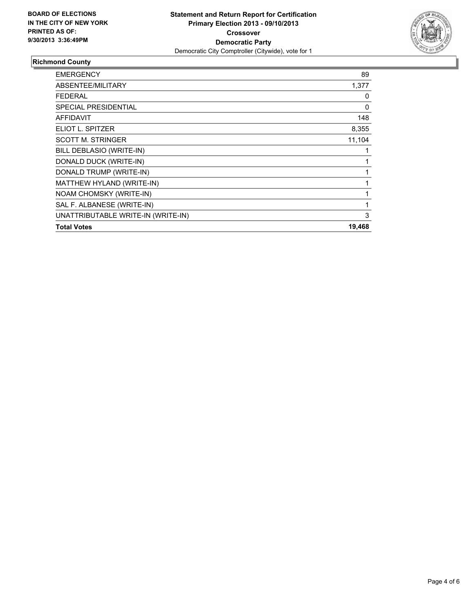

## **Richmond County**

| <b>EMERGENCY</b>                   | 89       |
|------------------------------------|----------|
| ABSENTEE/MILITARY                  | 1,377    |
| FEDERAL                            | 0        |
| <b>SPECIAL PRESIDENTIAL</b>        | $\Omega$ |
| <b>AFFIDAVIT</b>                   | 148      |
| ELIOT L. SPITZER                   | 8,355    |
| <b>SCOTT M. STRINGER</b>           | 11,104   |
| BILL DEBLASIO (WRITE-IN)           |          |
| DONALD DUCK (WRITE-IN)             |          |
| DONALD TRUMP (WRITE-IN)            |          |
| MATTHEW HYLAND (WRITE-IN)          | 1        |
| NOAM CHOMSKY (WRITE-IN)            | 1        |
| SAL F. ALBANESE (WRITE-IN)         | 1        |
| UNATTRIBUTABLE WRITE-IN (WRITE-IN) | 3        |
| <b>Total Votes</b>                 | 19,468   |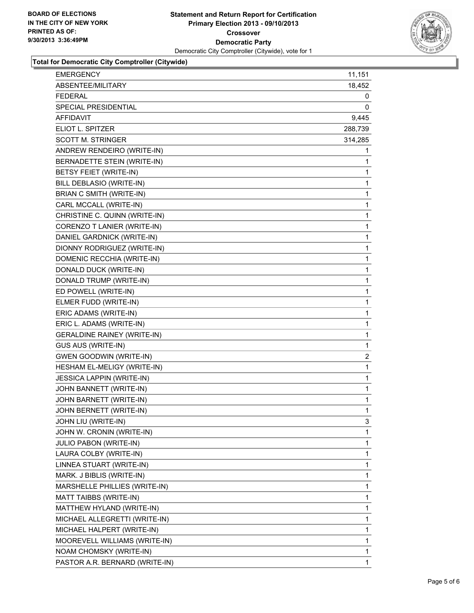

**Total for Democratic City Comptroller (Citywide)**

| <b>EMERGENCY</b>                   | 11,151       |
|------------------------------------|--------------|
| ABSENTEE/MILITARY                  | 18,452       |
| <b>FEDERAL</b>                     | 0            |
| SPECIAL PRESIDENTIAL               | 0            |
| AFFIDAVIT                          | 9,445        |
| ELIOT L. SPITZER                   | 288,739      |
| <b>SCOTT M. STRINGER</b>           | 314,285      |
| ANDREW RENDEIRO (WRITE-IN)         | 1            |
| BERNADETTE STEIN (WRITE-IN)        | 1            |
| BETSY FEIET (WRITE-IN)             | 1            |
| BILL DEBLASIO (WRITE-IN)           | 1            |
| BRIAN C SMITH (WRITE-IN)           | 1            |
| CARL MCCALL (WRITE-IN)             | 1            |
| CHRISTINE C. QUINN (WRITE-IN)      | 1            |
| CORENZO T LANIER (WRITE-IN)        | 1            |
| DANIEL GARDNICK (WRITE-IN)         | 1            |
| DIONNY RODRIGUEZ (WRITE-IN)        | 1            |
| DOMENIC RECCHIA (WRITE-IN)         | 1            |
| DONALD DUCK (WRITE-IN)             | 1            |
| DONALD TRUMP (WRITE-IN)            | 1            |
| ED POWELL (WRITE-IN)               | 1            |
| ELMER FUDD (WRITE-IN)              | 1            |
| ERIC ADAMS (WRITE-IN)              | 1            |
| ERIC L. ADAMS (WRITE-IN)           | 1            |
| <b>GERALDINE RAINEY (WRITE-IN)</b> | 1            |
| GUS AUS (WRITE-IN)                 | 1            |
| <b>GWEN GOODWIN (WRITE-IN)</b>     | 2            |
| HESHAM EL-MELIGY (WRITE-IN)        | 1            |
| <b>JESSICA LAPPIN (WRITE-IN)</b>   | 1            |
| JOHN BANNETT (WRITE-IN)            | 1            |
| JOHN BARNETT (WRITE-IN)            | 1            |
| JOHN BERNETT (WRITE-IN)            | 1            |
| JOHN LIU (WRITE-IN)                | 3            |
| JOHN W. CRONIN (WRITE-IN)          | 1            |
| JULIO PABON (WRITE-IN)             | 1            |
| LAURA COLBY (WRITE-IN)             | 1            |
| LINNEA STUART (WRITE-IN)           | 1            |
| MARK. J BIBLIS (WRITE-IN)          | 1            |
| MARSHELLE PHILLIES (WRITE-IN)      | 1            |
| MATT TAIBBS (WRITE-IN)             | 1            |
| MATTHEW HYLAND (WRITE-IN)          | 1            |
| MICHAEL ALLEGRETTI (WRITE-IN)      | 1            |
| MICHAEL HALPERT (WRITE-IN)         | 1            |
| MOOREVELL WILLIAMS (WRITE-IN)      | 1            |
| NOAM CHOMSKY (WRITE-IN)            | 1            |
| PASTOR A.R. BERNARD (WRITE-IN)     | $\mathbf{1}$ |